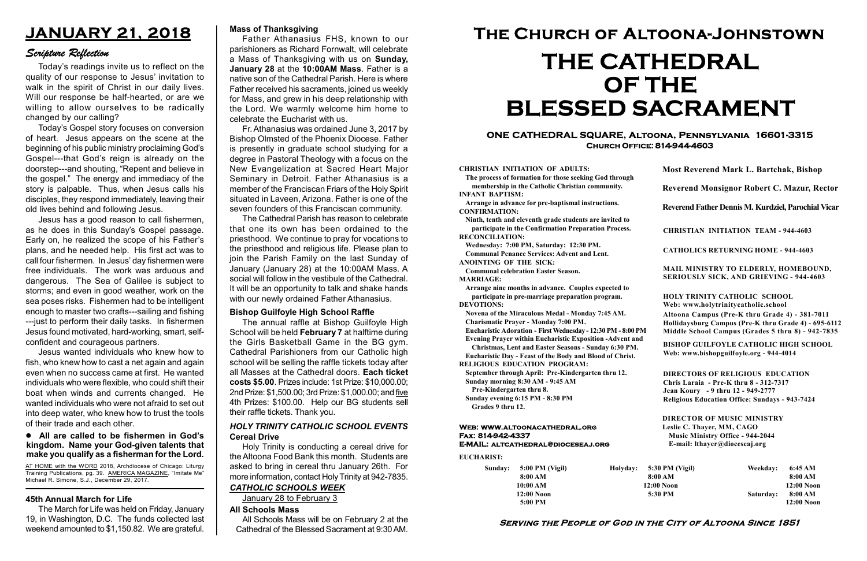#### Serving the People of God in the City of Altoona Since 1851

Sunday: 5:00 PM (Vigil) 8:00 AM 10:00 AM 12:00 Noon 5:00 PM Holyday:

#### Web: www.altoonacathedral.org Fax: 814-942-4337 E-MAIL: altcathedral@dioceseaj.org

EUCHARIST:

#### CHRISTIAN INITIATION OF ADULTS:

The process of formation for those seeking God through membership in the Catholic Christian community. INFANT BAPTISM:

Arrange in advance for pre-baptismal instructions. CONFIRMATION:

Ninth, tenth and eleventh grade students are invited to participate in the Confirmation Preparation Process. RECONCILIATION:

Wednesday: 7:00 PM, Saturday: 12:30 PM. Communal Penance Services: Advent and Lent.

ANOINTING OF THE SICK:

Communal celebration Easter Season. MARRIAGE:

Arrange nine months in advance. Couples expected to participate in pre-marriage preparation program. DEVOTIONS:

Novena of the Miraculous Medal - Monday 7:45 AM.

Charismatic Prayer - Monday 7:00 PM. Eucharistic Adoration - First Wednesday - 12:30 PM - 8:00 PM

Evening Prayer within Eucharistic Exposition -Advent and

Christmas, Lent and Easter Seasons - Sunday 6:30 PM.

|                         | <b>Most Reverend Mark L. Bartchak, Bishop</b><br><b>Reverend Monsignor Robert C. Mazur, Rector</b>                                                                              |           |                         |
|-------------------------|---------------------------------------------------------------------------------------------------------------------------------------------------------------------------------|-----------|-------------------------|
|                         |                                                                                                                                                                                 |           |                         |
|                         | Reverend Father Dennis M. Kurdziel, Parochial Vicar                                                                                                                             |           |                         |
|                         | <b>CHRISTIAN INITIATION TEAM - 944-4603</b>                                                                                                                                     |           |                         |
|                         | <b>CATHOLICS RETURNING HOME - 944-4603</b>                                                                                                                                      |           |                         |
|                         | MAIL MINISTRY TO ELDERLY, HOMEBOUND,<br>SERIOUSLY SICK, AND GRIEVING - 944-4603                                                                                                 |           |                         |
|                         | HOLY TRINITY CATHOLIC SCHOOL<br>Web: www.holytrinitycatholic.school                                                                                                             |           |                         |
| М                       | Altoona Campus (Pre-K thru Grade 4) - 381-7011<br>Hollidaysburg Campus (Pre-K thru Grade 4) - 695-6112<br>Middle School Campus (Grades 5 thru 8) - 942-7835                     |           |                         |
| ł                       | <b>BISHOP GUILFOYLE CATHOLIC HIGH SCHOOL</b><br>Web: www.bishopguilfoyle.org - 944-4014                                                                                         |           |                         |
|                         | <b>DIRECTORS OF RELIGIOUS EDUCATION</b><br>Chris Laraia - Pre-K thru 8 - 312-7317<br>Jean Koury - 9 thru 12 - 949-2777<br><b>Religious Education Office: Sundays - 943-7424</b> |           |                         |
|                         | <b>DIRECTOR OF MUSIC MINISTRY</b><br>Leslie C. Thayer, MM, CAGO<br><b>Music Ministry Office - 944-2044</b><br>E-mail: lthayer@dioceseaj.org                                     |           |                         |
| 5:30 PM (Vigil)         |                                                                                                                                                                                 | Weekday:  | 6:45 AM                 |
| 8:00 AM<br>$12:00$ Noon |                                                                                                                                                                                 |           | 8:00 AM<br>$12:00$ Noon |
| 5:30 PM                 |                                                                                                                                                                                 | Saturday: | 8:00 AM                 |
|                         |                                                                                                                                                                                 |           | 12:00 Noon              |

Eucharistic Day - Feast of the Body and Blood of Christ.

RELIGIOUS EDUCATION PROGRAM:

September through April: Pre-Kindergarten thru 12. Sunday morning 8:30 AM - 9:45 AM

Pre-Kindergarten thru 8.

Sunday evening 6:15 PM - 8:30 PM Grades 9 thru 12.

AT HOME with the WORD 2018, Archdiocese of Chicago: Liturgy Training Publications, pg. 39. AMERICA MAGAZINE, "Imitate Me" Michael R. Simone, S.J., December 29, 2017.

#### ONE CATHEDRAL SQUARE, Altoona, Pennsylvania 16601-3315 Church Office: 814-944-4603

# The Church of Altoona-Johnstown THE CATHEDRAL OF THE BLESSED SACRAMENT

#### CATHOLIC SCHOOLS WEEK

January 28 to February 3

#### All Schools Mass

All Schools Mass will be on February 2 at the Cathedral of the Blessed Sacrament at 9:30 AM.

## JANUARY 21, 2018

### Scripture Reflection

#### All are called to be fishermen in God's kingdom. Name your God-given talents that make you qualify as a fisherman for the Lord.

Today's readings invite us to reflect on the quality of our response to Jesus' invitation to walk in the spirit of Christ in our daily lives. Will our response be half-hearted, or are we willing to allow ourselves to be radically changed by our calling?

Today's Gospel story focuses on conversion of heart. Jesus appears on the scene at the beginning of his public ministry proclaiming God's Gospel---that God's reign is already on the doorstep---and shouting, "Repent and believe in the gospel." The energy and immediacy of the story is palpable. Thus, when Jesus calls his disciples, they respond immediately, leaving their old lives behind and following Jesus.

Jesus has a good reason to call fishermen, as he does in this Sunday's Gospel passage. Early on, he realized the scope of his Father's plans, and he needed help. His first act was to call four fishermen. In Jesus' day fishermen were free individuals. The work was arduous and dangerous. The Sea of Galilee is subject to storms; and even in good weather, work on the sea poses risks. Fishermen had to be intelligent enough to master two crafts---sailing and fishing ---just to perform their daily tasks. In fishermen Jesus found motivated, hard-working, smart, selfconfident and courageous partners.

Jesus wanted individuals who knew how to fish, who knew how to cast a net again and again even when no success came at first. He wanted individuals who were flexible, who could shift their boat when winds and currents changed. He wanted individuals who were not afraid to set out into deep water, who knew how to trust the tools of their trade and each other.

#### HOLY TRINITY CATHOLIC SCHOOL EVENTS Cereal Drive

#### 45th Annual March for Life

The March for Life was held on Friday, January 19, in Washington, D.C. The funds collected last weekend amounted to \$1,150.82. We are grateful.

#### Bishop Guilfoyle High School Raffle

The annual raffle at Bishop Guilfoyle High School will be held February 7 at halftime during the Girls Basketball Game in the BG gym. Cathedral Parishioners from our Catholic high school will be selling the raffle tickets today after all Masses at the Cathedral doors. Each ticket costs \$5.00. Prizes include: 1st Prize: \$10,000.00; 2nd Prize: \$1,500.00; 3rd Prize: \$1,000.00; and five 4th Prizes: \$100.00. Help our BG students sell their raffle tickets. Thank you.

#### Mass of Thanksgiving

Father Athanasius FHS, known to our parishioners as Richard Fornwalt, will celebrate a Mass of Thanksgiving with us on Sunday, January 28 at the 10:00AM Mass. Father is a native son of the Cathedral Parish. Here is where Father received his sacraments, joined us weekly for Mass, and grew in his deep relationship with the Lord. We warmly welcome him home to celebrate the Eucharist with us.

Fr. Athanasius was ordained June 3, 2017 by Bishop Olmsted of the Phoenix Diocese. Father is presently in graduate school studying for a degree in Pastoral Theology with a focus on the New Evangelization at Sacred Heart Major Seminary in Detroit. Father Athanasius is a member of the Franciscan Friars of the Holy Spirit situated in Laveen, Arizona. Father is one of the seven founders of this Franciscan community.

The Cathedral Parish has reason to celebrate that one its own has been ordained to the priesthood. We continue to pray for vocations to the priesthood and religious life. Please plan to join the Parish Family on the last Sunday of January (January 28) at the 10:00AM Mass. A social will follow in the vestibule of the Cathedral. It will be an opportunity to talk and shake hands with our newly ordained Father Athanasius.

Holy Trinity is conducting a cereal drive for the Altoona Food Bank this month. Students are asked to bring in cereal thru January 26th. For more information, contact Holy Trinity at 942-7835.